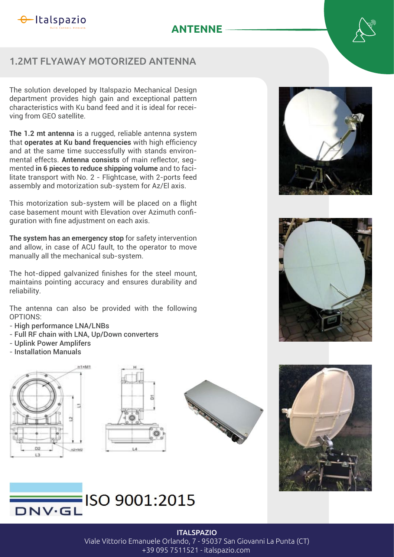

# **ANTENNE**

# 1.2MT FLYAWAY MOTORIZED ANTENNA

The solution developed by Italspazio Mechanical Design department provides high gain and exceptional pattern characteristics with Ku band feed and it is ideal for receiving from GEO satellite.

**The 1.2 mt antenna** is a rugged, reliable antenna system that **operates at Ku band frequencies** with high efficiency and at the same time successfully with stands environmental effects. **Antenna consists** of main reflector, segmented **in 6 pieces to reduce shipping volume** and to facilitate transport with No. 2 - Flightcase, with 2-ports feed assembly and motorization sub-system for Az/El axis.

This motorization sub-system will be placed on a flight case basement mount with Elevation over Azimuth confiquration with fine adjustment on each axis.

**The system has an emergency stop** for safety intervention and allow, in case of ACU fault, to the operator to move manually all the mechanical sub-system.

The hot-dipped galvanized finishes for the steel mount, maintains pointing accuracy and ensures durability and reliability.

The antenna can also be provided with the following OPTIONS<sup>.</sup>

- High performance LNA/LNBs
- Full RF chain with LNA, Up/Down converters
- Uplink Power Amplifers
- Installation Manuals















#### **ITALSPAZIO**

Viale Vittorio Emanuele Orlando, 7 - 95037 San Giovanni La Punta (CT)

+39 095 7511521 - italspazio.com